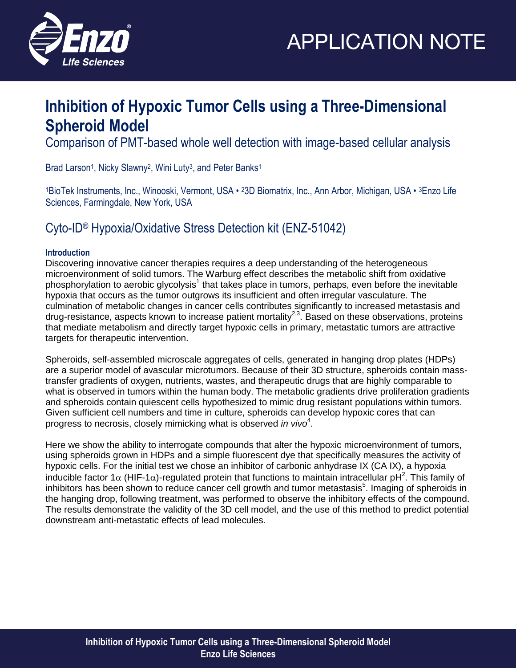



### **Inhibition of Hypoxic Tumor Cells using a Three-Dimensional Spheroid Model**

Comparison of PMT-based whole well detection with image-based cellular analysis

Brad Larson<sup>1</sup>, Nicky Slawny<sup>2</sup>, Wini Luty<sup>3</sup>, and Peter Banks<sup>1</sup>

1BioTek Instruments, Inc., Winooski, Vermont, USA • 23D Biomatrix, Inc., Ann Arbor, Michigan, USA • 3Enzo Life Sciences, Farmingdale, New York, USA

### Cyto-ID® Hypoxia/Oxidative Stress Detection kit (ENZ-51042)

#### **Introduction**

Discovering innovative cancer therapies requires a deep understanding of the heterogeneous microenvironment of solid tumors. The Warburg effect describes the metabolic shift from oxidative phosphorylation to aerobic glycolysis<sup>1</sup> that takes place in tumors, perhaps, even before the inevitable hypoxia that occurs as the tumor outgrows its insufficient and often irregular vasculature. The culmination of metabolic changes in cancer cells contributes significantly to increased metastasis and drug-resistance, aspects known to increase patient mortality<sup>2,3</sup>. Based on these observations, proteins that mediate metabolism and directly target hypoxic cells in primary, metastatic tumors are attractive targets for therapeutic intervention.

Spheroids, self-assembled microscale aggregates of cells, generated in hanging drop plates (HDPs) are a superior model of avascular microtumors. Because of their 3D structure, spheroids contain masstransfer gradients of oxygen, nutrients, wastes, and therapeutic drugs that are highly comparable to what is observed in tumors within the human body. The metabolic gradients drive proliferation gradients and spheroids contain quiescent cells hypothesized to mimic drug resistant populations within tumors. Given sufficient cell numbers and time in culture, spheroids can develop hypoxic cores that can progress to necrosis, closely mimicking what is observed *in vivo*<sup>4</sup>.

Here we show the ability to interrogate compounds that alter the hypoxic microenvironment of tumors, using spheroids grown in HDPs and a simple fluorescent dye that specifically measures the activity of hypoxic cells. For the initial test we chose an inhibitor of carbonic anhydrase IX (CA IX), a hypoxia inducible factor 1 $\alpha$  (HIF-1 $\alpha$ )-regulated protein that functions to maintain intracellular pH<sup>2</sup>. This family of inhibitors has been shown to reduce cancer cell growth and tumor metastasis<sup>5</sup>. Imaging of spheroids in the hanging drop, following treatment, was performed to observe the inhibitory effects of the compound. The results demonstrate the validity of the 3D cell model, and the use of this method to predict potential downstream anti-metastatic effects of lead molecules.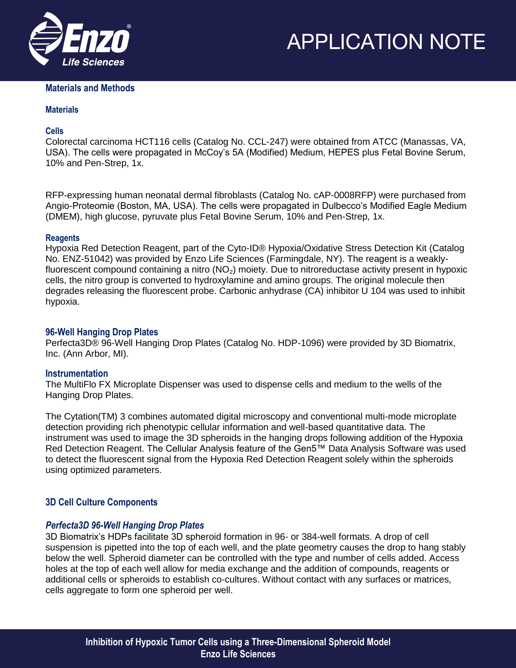



#### **Materials and Methods**

#### **Materials**

#### **Cells**

Colorectal carcinoma HCT116 cells (Catalog No. CCL-247) were obtained from ATCC (Manassas, VA, USA). The cells were propagated in McCoy's 5A (Modified) Medium, HEPES plus Fetal Bovine Serum, 10% and Pen-Strep, 1x.

RFP-expressing human neonatal dermal fibroblasts (Catalog No. cAP-0008RFP) were purchased from Angio-Proteomie (Boston, MA, USA). The cells were propagated in Dulbecco's Modified Eagle Medium (DMEM), high glucose, pyruvate plus Fetal Bovine Serum, 10% and Pen-Strep, 1x.

#### **Reagents**

Hypoxia Red Detection Reagent, part of the Cyto-ID® Hypoxia/Oxidative Stress Detection Kit (Catalog No. ENZ-51042) was provided by Enzo Life Sciences (Farmingdale, NY). The reagent is a weaklyfluorescent compound containing a nitro  $(NO<sub>2</sub>)$  moiety. Due to nitroreductase activity present in hypoxic cells, the nitro group is converted to hydroxylamine and amino groups. The original molecule then degrades releasing the fluorescent probe. Carbonic anhydrase (CA) inhibitor U 104 was used to inhibit hypoxia.

#### **96-Well Hanging Drop Plates**

Perfecta3D® 96-Well Hanging Drop Plates (Catalog No. HDP-1096) were provided by 3D Biomatrix, Inc. (Ann Arbor, MI).

#### **Instrumentation**

The MultiFlo FX Microplate Dispenser was used to dispense cells and medium to the wells of the Hanging Drop Plates.

The Cytation(TM) 3 combines automated digital microscopy and conventional multi-mode microplate detection providing rich phenotypic cellular information and well-based quantitative data. The instrument was used to image the 3D spheroids in the hanging drops following addition of the Hypoxia Red Detection Reagent. The Cellular Analysis feature of the Gen5™ Data Analysis Software was used to detect the fluorescent signal from the Hypoxia Red Detection Reagent solely within the spheroids using optimized parameters.

#### **3D Cell Culture Components**

#### *Perfecta3D 96-Well Hanging Drop Plates*

3D Biomatrix's HDPs facilitate 3D spheroid formation in 96- or 384-well formats. A drop of cell suspension is pipetted into the top of each well, and the plate geometry causes the drop to hang stably below the well. Spheroid diameter can be controlled with the type and number of cells added. Access holes at the top of each well allow for media exchange and the addition of compounds, reagents or additional cells or spheroids to establish co-cultures. Without contact with any surfaces or matrices, cells aggregate to form one spheroid per well.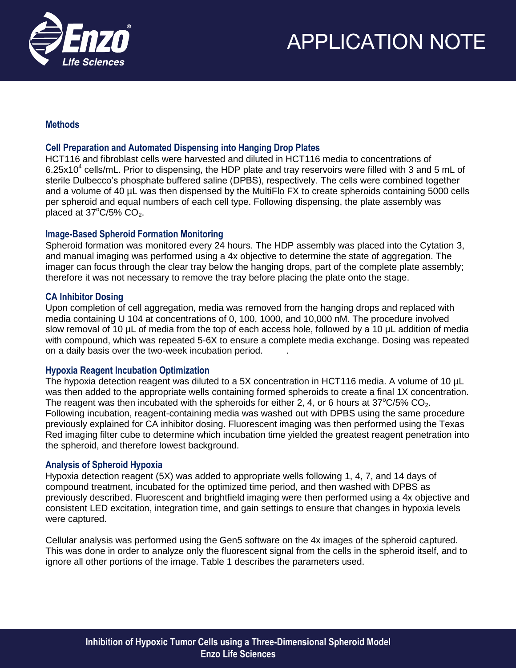

#### **Methods**

#### **Cell Preparation and Automated Dispensing into Hanging Drop Plates**

HCT116 and fibroblast cells were harvested and diluted in HCT116 media to concentrations of 6.25x10<sup>4</sup> cells/mL. Prior to dispensing, the HDP plate and tray reservoirs were filled with 3 and 5 mL of sterile Dulbecco's phosphate buffered saline (DPBS), respectively. The cells were combined together and a volume of 40 µL was then dispensed by the MultiFlo FX to create spheroids containing 5000 cells per spheroid and equal numbers of each cell type. Following dispensing, the plate assembly was placed at  $37^{\circ}$ C/5% CO<sub>2</sub>.

#### **Image-Based Spheroid Formation Monitoring**

Spheroid formation was monitored every 24 hours. The HDP assembly was placed into the Cytation 3, and manual imaging was performed using a 4x objective to determine the state of aggregation. The imager can focus through the clear tray below the hanging drops, part of the complete plate assembly; therefore it was not necessary to remove the tray before placing the plate onto the stage.

#### **CA Inhibitor Dosing**

Upon completion of cell aggregation, media was removed from the hanging drops and replaced with media containing U 104 at concentrations of 0, 100, 1000, and 10,000 nM. The procedure involved slow removal of 10 µL of media from the top of each access hole, followed by a 10 µL addition of media with compound, which was repeated 5-6X to ensure a complete media exchange. Dosing was repeated on a daily basis over the two-week incubation period. .

#### **Hypoxia Reagent Incubation Optimization**

The hypoxia detection reagent was diluted to a 5X concentration in HCT116 media. A volume of 10 µL was then added to the appropriate wells containing formed spheroids to create a final 1X concentration. The reagent was then incubated with the spheroids for either 2, 4, or 6 hours at  $37^{\circ}$ C/5% CO<sub>2</sub>. Following incubation, reagent-containing media was washed out with DPBS using the same procedure previously explained for CA inhibitor dosing. Fluorescent imaging was then performed using the Texas Red imaging filter cube to determine which incubation time yielded the greatest reagent penetration into the spheroid, and therefore lowest background.

#### **Analysis of Spheroid Hypoxia**

Hypoxia detection reagent (5X) was added to appropriate wells following 1, 4, 7, and 14 days of compound treatment, incubated for the optimized time period, and then washed with DPBS as previously described. Fluorescent and brightfield imaging were then performed using a 4x objective and consistent LED excitation, integration time, and gain settings to ensure that changes in hypoxia levels were captured.

Cellular analysis was performed using the Gen5 software on the 4x images of the spheroid captured. This was done in order to analyze only the fluorescent signal from the cells in the spheroid itself, and to ignore all other portions of the image. Table 1 describes the parameters used.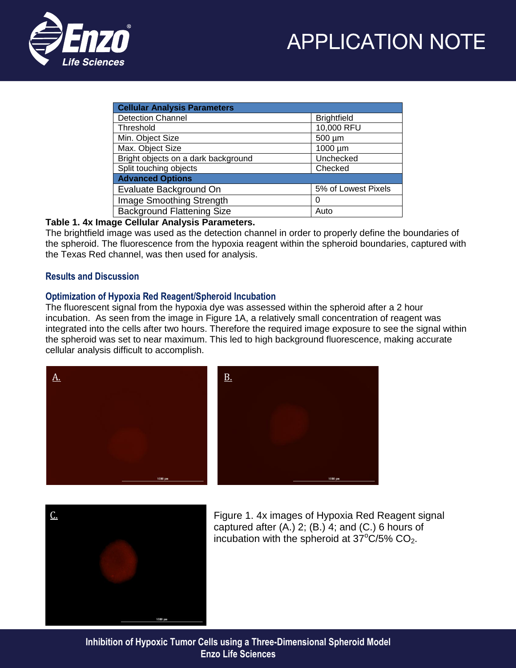



| <b>Cellular Analysis Parameters</b> |                     |
|-------------------------------------|---------------------|
| <b>Detection Channel</b>            | <b>Brightfield</b>  |
| Threshold                           | 10,000 RFU          |
| Min. Object Size                    | 500 µm              |
| Max. Object Size                    | 1000 µm             |
| Bright objects on a dark background | Unchecked           |
| Split touching objects              | Checked             |
| <b>Advanced Options</b>             |                     |
| Evaluate Background On              | 5% of Lowest Pixels |
| Image Smoothing Strength            | 0                   |
| <b>Background Flattening Size</b>   | Auto                |

#### **Table 1. 4x Image Cellular Analysis Parameters.**

The brightfield image was used as the detection channel in order to properly define the boundaries of the spheroid. The fluorescence from the hypoxia reagent within the spheroid boundaries, captured with the Texas Red channel, was then used for analysis.

#### **Results and Discussion**

#### **Optimization of Hypoxia Red Reagent/Spheroid Incubation**

The fluorescent signal from the hypoxia dye was assessed within the spheroid after a 2 hour incubation. As seen from the image in Figure 1A, a relatively small concentration of reagent was integrated into the cells after two hours. Therefore the required image exposure to see the signal within the spheroid was set to near maximum. This led to high background fluorescence, making accurate cellular analysis difficult to accomplish.





Figure 1. 4x images of Hypoxia Red Reagent signal captured after (A.) 2; (B.) 4; and (C.) 6 hours of incubation with the spheroid at  $37^{\circ}$ C/5% CO<sub>2</sub>.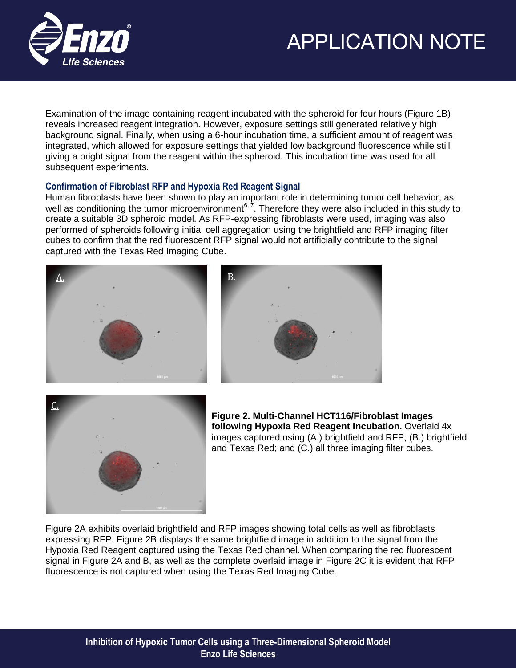

Examination of the image containing reagent incubated with the spheroid for four hours (Figure 1B) reveals increased reagent integration. However, exposure settings still generated relatively high background signal. Finally, when using a 6-hour incubation time, a sufficient amount of reagent was integrated, which allowed for exposure settings that yielded low background fluorescence while still giving a bright signal from the reagent within the spheroid. This incubation time was used for all subsequent experiments.

#### **Confirmation of Fibroblast RFP and Hypoxia Red Reagent Signal**

Human fibroblasts have been shown to play an important role in determining tumor cell behavior, as well as conditioning the tumor microenvironment<sup>6,  $\bar{7}$ </sup>. Therefore they were also included in this study to create a suitable 3D spheroid model. As RFP-expressing fibroblasts were used, imaging was also performed of spheroids following initial cell aggregation using the brightfield and RFP imaging filter cubes to confirm that the red fluorescent RFP signal would not artificially contribute to the signal captured with the Texas Red Imaging Cube.







**Figure 2. Multi-Channel HCT116/Fibroblast Images following Hypoxia Red Reagent Incubation.** Overlaid 4x images captured using (A.) brightfield and RFP; (B.) brightfield and Texas Red; and (C.) all three imaging filter cubes.

Figure 2A exhibits overlaid brightfield and RFP images showing total cells as well as fibroblasts expressing RFP. Figure 2B displays the same brightfield image in addition to the signal from the Hypoxia Red Reagent captured using the Texas Red channel. When comparing the red fluorescent signal in Figure 2A and B, as well as the complete overlaid image in Figure 2C it is evident that RFP fluorescence is not captured when using the Texas Red Imaging Cube.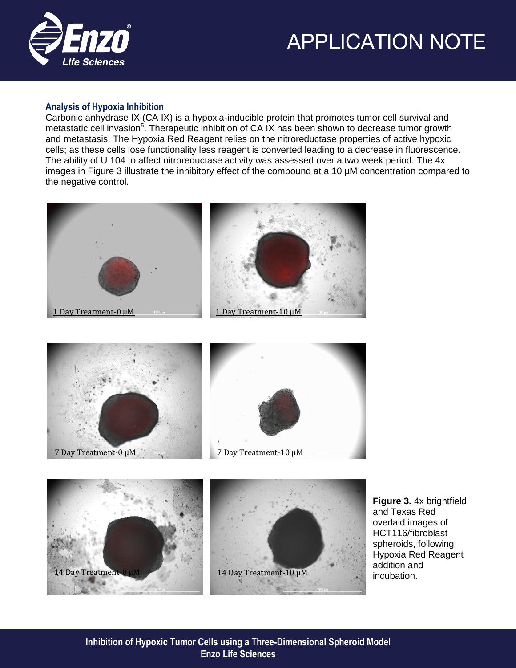

#### **Analysis of Hypoxia Inhibition**

Carbonic anhydrase IX (CA IX) is a hypoxia-inducible protein that promotes tumor cell survival and metastatic cell invasion<sup>5</sup>. Therapeutic inhibition of CA IX has been shown to decrease tumor growth and metastasis. The Hypoxia Red Reagent relies on the nitroreductase properties of active hypoxic cells; as these cells lose functionality less reagent is converted leading to a decrease in fluorescence. The ability of U 104 to affect nitroreductase activity was assessed over a two week period. The 4x images in Figure 3 illustrate the inhibitory effect of the compound at a 10 µM concentration compared to the negative control.







**Figure 3.** 4x brightfield and Texas Red overlaid images of HCT116/fibroblast spheroids, following Hypoxia Red Reagent addition and incubation.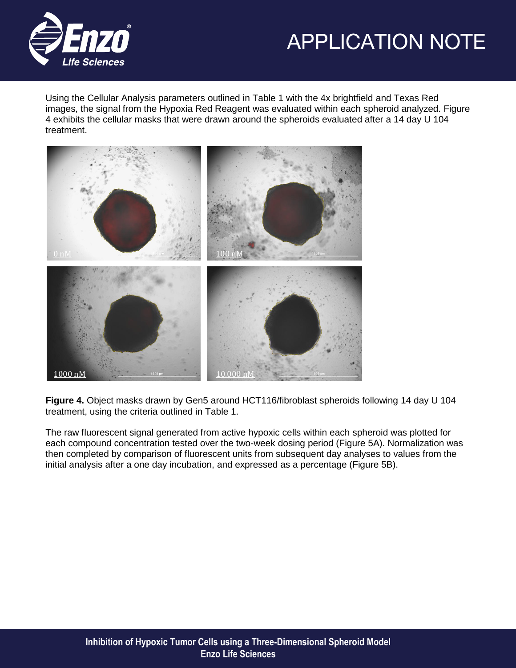



Using the Cellular Analysis parameters outlined in Table 1 with the 4x brightfield and Texas Red images, the signal from the Hypoxia Red Reagent was evaluated within each spheroid analyzed. Figure 4 exhibits the cellular masks that were drawn around the spheroids evaluated after a 14 day U 104 treatment.



**Figure 4.** Object masks drawn by Gen5 around HCT116/fibroblast spheroids following 14 day U 104 treatment, using the criteria outlined in Table 1.

The raw fluorescent signal generated from active hypoxic cells within each spheroid was plotted for each compound concentration tested over the two-week dosing period (Figure 5A). Normalization was then completed by comparison of fluorescent units from subsequent day analyses to values from the initial analysis after a one day incubation, and expressed as a percentage (Figure 5B).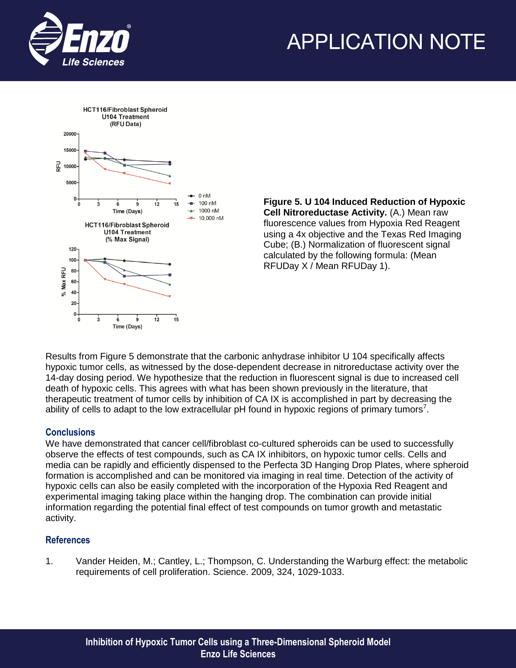



**Figure 5. U 104 Induced Reduction of Hypoxic Cell Nitroreductase Activity.** (A.) Mean raw fluorescence values from Hypoxia Red Reagent using a 4x objective and the Texas Red Imaging Cube; (B.) Normalization of fluorescent signal calculated by the following formula: (Mean RFUDay X / Mean RFUDay 1).

Results from Figure 5 demonstrate that the carbonic anhydrase inhibitor U 104 specifically affects hypoxic tumor cells, as witnessed by the dose-dependent decrease in nitroreductase activity over the 14-day dosing period. We hypothesize that the reduction in fluorescent signal is due to increased cell death of hypoxic cells. This agrees with what has been shown previously in the literature, that therapeutic treatment of tumor cells by inhibition of CA IX is accomplished in part by decreasing the ability of cells to adapt to the low extracellular pH found in hypoxic regions of primary tumors<sup>7</sup>.

#### **Conclusions**

We have demonstrated that cancer cell/fibroblast co-cultured spheroids can be used to successfully observe the effects of test compounds, such as CA IX inhibitors, on hypoxic tumor cells. Cells and media can be rapidly and efficiently dispensed to the Perfecta 3D Hanging Drop Plates, where spheroid formation is accomplished and can be monitored via imaging in real time. Detection of the activity of hypoxic cells can also be easily completed with the incorporation of the Hypoxia Red Reagent and experimental imaging taking place within the hanging drop. The combination can provide initial information regarding the potential final effect of test compounds on tumor growth and metastatic activity.

#### **References**

1. Vander Heiden, M.; Cantley, L.; Thompson, C. Understanding the Warburg effect: the metabolic requirements of cell proliferation. Science. 2009, 324, 1029-1033.